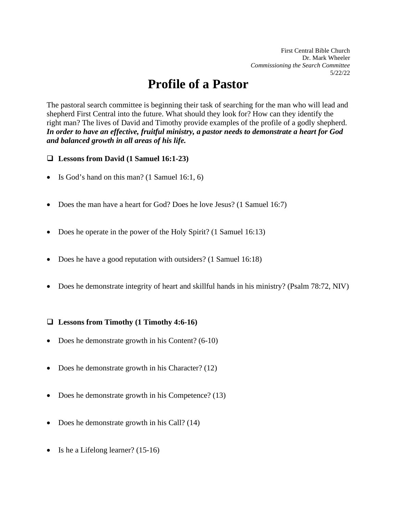First Central Bible Church Dr. Mark Wheeler *Commissioning the Search Committee* 5/22/22

# **Profile of a Pastor**

The pastoral search committee is beginning their task of searching for the man who will lead and shepherd First Central into the future. What should they look for? How can they identify the right man? The lives of David and Timothy provide examples of the profile of a godly shepherd. *In order to have an effective, fruitful ministry, a pastor needs to demonstrate a heart for God and balanced growth in all areas of his life.*

**Lessons from David (1 Samuel 16:1-23)**

- Is God's hand on this man? (1 Samuel 16:1, 6)
- Does the man have a heart for God? Does he love Jesus? (1 Samuel 16:7)
- Does he operate in the power of the Holy Spirit? (1 Samuel 16:13)
- Does he have a good reputation with outsiders? (1 Samuel 16:18)
- Does he demonstrate integrity of heart and skillful hands in his ministry? (Psalm 78:72, NIV)

#### **Lessons from Timothy (1 Timothy 4:6-16)**

- Does he demonstrate growth in his Content? (6-10)
- Does he demonstrate growth in his Character? (12)
- Does he demonstrate growth in his Competence? (13)
- Does he demonstrate growth in his Call? (14)
- Is he a Lifelong learner? (15-16)